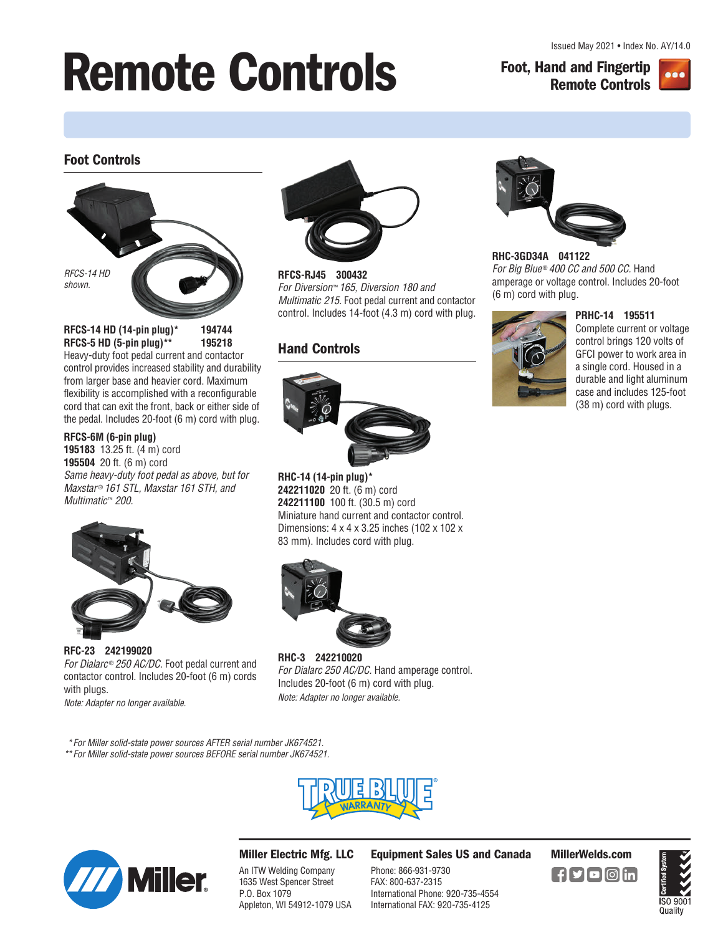# **Remote Controls Foot, Hand and Fingertip**

**Remote Controls**



## **Foot Controls**



**RFCS-14 HD (14-pin plug)\* 194744 RFCS-5 HD (5-pin plug)\*\* 195218**  Heavy-duty foot pedal current and contactor

control provides increased stability and durability from larger base and heavier cord. Maximum flexibility is accomplished with a reconfigurable cord that can exit the front, back or either side of the pedal. Includes 20-foot (6 m) cord with plug.

#### **RFCS-6M (6-pin plug)**

**195183** 13.25 ft. (4 m) cord **195504** 20 ft. (6 m) cord Same heavy-duty foot pedal as above, but for Maxstar<sup>®</sup> 161 STL, Maxstar 161 STH, and Multimatic™ 200.



**RFC-23 242199020**  For Dialarc® 250 AC/DC. Foot pedal current and contactor control. Includes 20-foot (6 m) cords with plugs.

Note: Adapter no longer available.



**RFCS-RJ45 300432**  For Diversion™ 165, Diversion 180 and Multimatic 215. Foot pedal current and contactor control. Includes 14-foot (4.3 m) cord with plug.

# **Hand Controls**



**RHC-14 (14-pin plug)\* 242211020** 20 ft. (6 m) cord **242211100** 100 ft. (30.5 m) cord Miniature hand current and contactor control. Dimensions: 4 x 4 x 3.25 inches (102 x 102 x 83 mm). Includes cord with plug.



**RHC-3 242210020**  For Dialarc 250 AC/DC. Hand amperage control. Includes 20-foot (6 m) cord with plug. Note: Adapter no longer available.



**RHC-3GD34A 041122**  For Big Blue® 400 CC and 500 CC. Hand amperage or voltage control. Includes 20-foot (6 m) cord with plug.



**PRHC-14 195511**  Complete current or voltage control brings 120 volts of GFCI power to work area in a single cord. Housed in a durable and light aluminum case and includes 125-foot (38 m) cord with plugs.

 \*For Miller solid-state power sources AFTER serial number JK674521. \*\*For Miller solid-state power sources BEFORE serial number JK674521.





## **Miller Electric Mfg. LLC**

An ITW Welding Company 1635 West Spencer Street P.O. Box 1079 Appleton, WI 54912-1079 USA **Equipment Sales US and Canada MillerWelds.com**

Phone: 866-931-9730 FAX: 800-637-2315 International Phone: 920-735-4554 International FAX: 920-735-4125